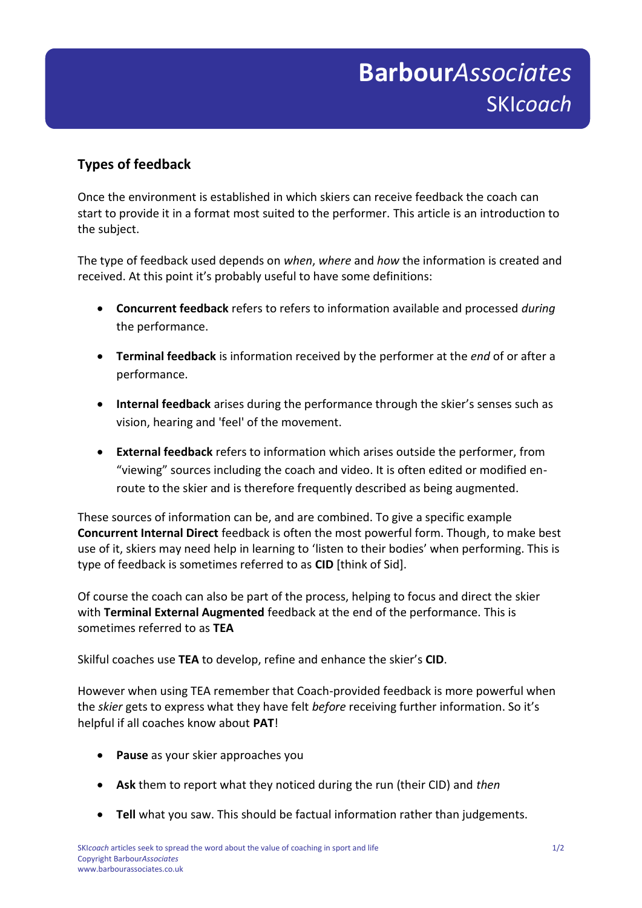## Submission F **Barbour***Associates* SKI*coach*

## **Types of feedback**

Once the environment is established in which skiers can receive feedback the coach can start to provide it in a format most suited to the performer. This article is an introduction to the subject.

The type of feedback used depends on *when*, *where* and *how* the information is created and received. At this point it's probably useful to have some definitions:

- **Concurrent feedback** refers to refers to information available and processed *during* the performance.
- **Terminal feedback** is information received by the performer at the *end* of or after a performance.
- **Internal feedback** arises during the performance through the skier's senses such as vision, hearing and 'feel' of the movement.
- **External feedback** refers to information which arises outside the performer, from "viewing" sources including the coach and video. It is often edited or modified enroute to the skier and is therefore frequently described as being augmented.

These sources of information can be, and are combined. To give a specific example **Concurrent Internal Direct** feedback is often the most powerful form. Though, to make best use of it, skiers may need help in learning to 'listen to their bodies' when performing. This is type of feedback is sometimes referred to as **CID** [think of Sid].

Of course the coach can also be part of the process, helping to focus and direct the skier with **Terminal External Augmented** feedback at the end of the performance. This is sometimes referred to as **TEA**

Skilful coaches use **TEA** to develop, refine and enhance the skier's **CID**.

However when using TEA remember that Coach-provided feedback is more powerful when the *skier* gets to express what they have felt *before* receiving further information. So it's helpful if all coaches know about **PAT**!

- **Pause** as your skier approaches you
- **Ask** them to report what they noticed during the run (their CID) and *then*
- **Tell** what you saw. This should be factual information rather than judgements.